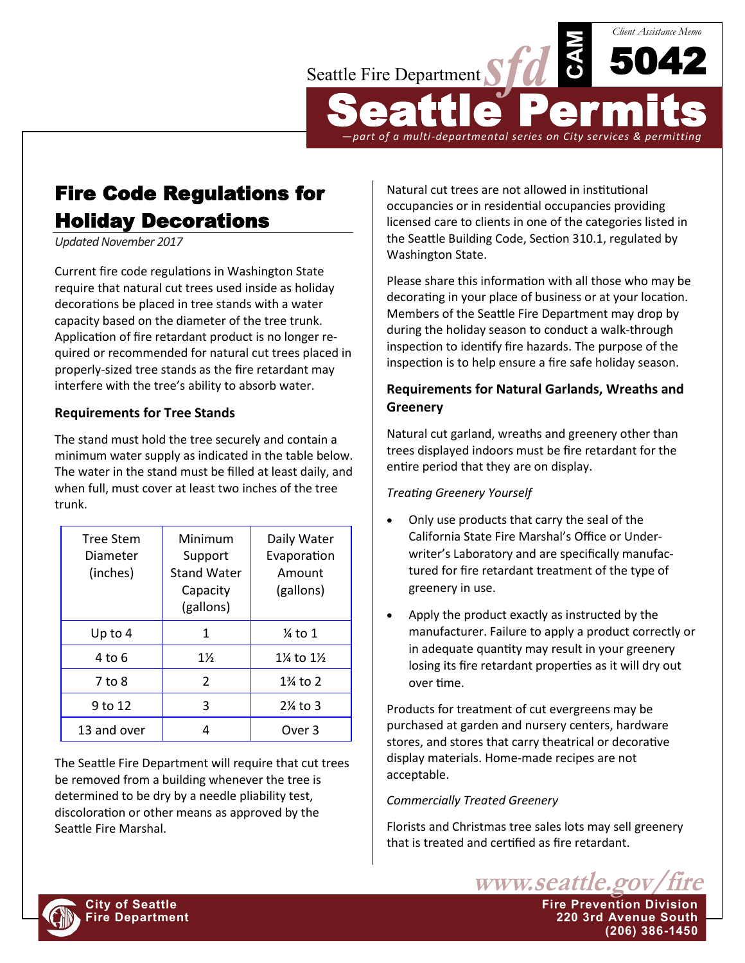

Fire Code Regulations for Holiday Decorations

*Updated November 2017*

Current fire code regulations in Washington State require that natural cut trees used inside as holiday decorations be placed in tree stands with a water capacity based on the diameter of the tree trunk. Application of fire retardant product is no longer required or recommended for natural cut trees placed in properly-sized tree stands as the fire retardant may interfere with the tree's ability to absorb water.

### **Requirements for Tree Stands**

The stand must hold the tree securely and contain a minimum water supply as indicated in the table below. The water in the stand must be filled at least daily, and when full, must cover at least two inches of the tree trunk.

| <b>Tree Stem</b><br>Diameter<br>(inches) | Minimum<br>Support<br><b>Stand Water</b><br>Capacity<br>(gallons) | Daily Water<br>Evaporation<br>Amount<br>(gallons) |
|------------------------------------------|-------------------------------------------------------------------|---------------------------------------------------|
| Up to $4$                                | 1                                                                 | $%$ to 1                                          |
| 4 to 6                                   | $1\frac{1}{2}$                                                    | $1\%$ to $1\%$                                    |
| 7 to 8                                   | 2                                                                 | 1% to 2                                           |
| 9 to 12                                  | 3                                                                 | $2\%$ to 3                                        |
| 13 and over                              |                                                                   | Over 3                                            |

The Seattle Fire Department will require that cut trees be removed from a building whenever the tree is determined to be dry by a needle pliability test, discoloration or other means as approved by the Seattle Fire Marshal.

Natural cut trees are not allowed in institutional occupancies or in residential occupancies providing licensed care to clients in one of the categories listed in the Seattle Building Code, Section 310.1, regulated by Washington State.

Please share this information with all those who may be decorating in your place of business or at your location. Members of the Seattle Fire Department may drop by during the holiday season to conduct a walk-through inspection to identify fire hazards. The purpose of the inspection is to help ensure a fire safe holiday season.

# **Requirements for Natural Garlands, Wreaths and Greenery**

Natural cut garland, wreaths and greenery other than trees displayed indoors must be fire retardant for the entire period that they are on display.

## *Treating Greenery Yourself*

- Only use products that carry the seal of the California State Fire Marshal's Office or Underwriter's Laboratory and are specifically manufactured for fire retardant treatment of the type of greenery in use.
- Apply the product exactly as instructed by the manufacturer. Failure to apply a product correctly or in adequate quantity may result in your greenery losing its fire retardant properties as it will dry out over time.

Products for treatment of cut evergreens may be purchased at garden and nursery centers, hardware stores, and stores that carry theatrical or decorative display materials. Home-made recipes are not acceptable.

#### *Commercially Treated Greenery*

Florists and Christmas tree sales lots may sell greenery that is treated and certified as fire retardant.

www.seattle.gov

**(206) 386-1450**